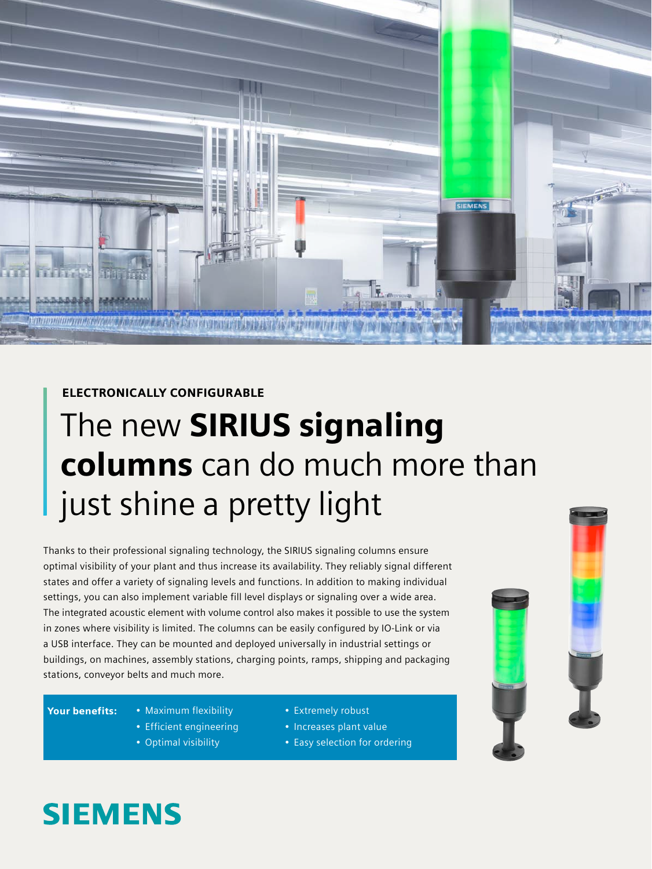

### ELECTRONICALLY CONFIGURABLE

# The new **SIRIUS signaling** columns can do much more than just shine a pretty light

Thanks to their professional signaling technology, the SIRIUS signaling columns ensure optimal visibility of your plant and thus increase its availability. They reliably signal different states and offer a variety of signaling levels and functions. In addition to making individual settings, you can also implement variable fill level displays or signaling over a wide area. The integrated acoustic element with volume control also makes it possible to use the system in zones where visibility is limited. The columns can be easily configured by IO-Link or via a USB interface. They can be mounted and deployed universally in industrial settings or buildings, on machines, assembly stations, charging points, ramps, shipping and packaging stations, conveyor belts and much more.

- Your benefits: Maximum flexibility
	- Efficient engineering
	- Optimal visibility
- Extremely robust
- Increases plant value
- Easy selection for ordering